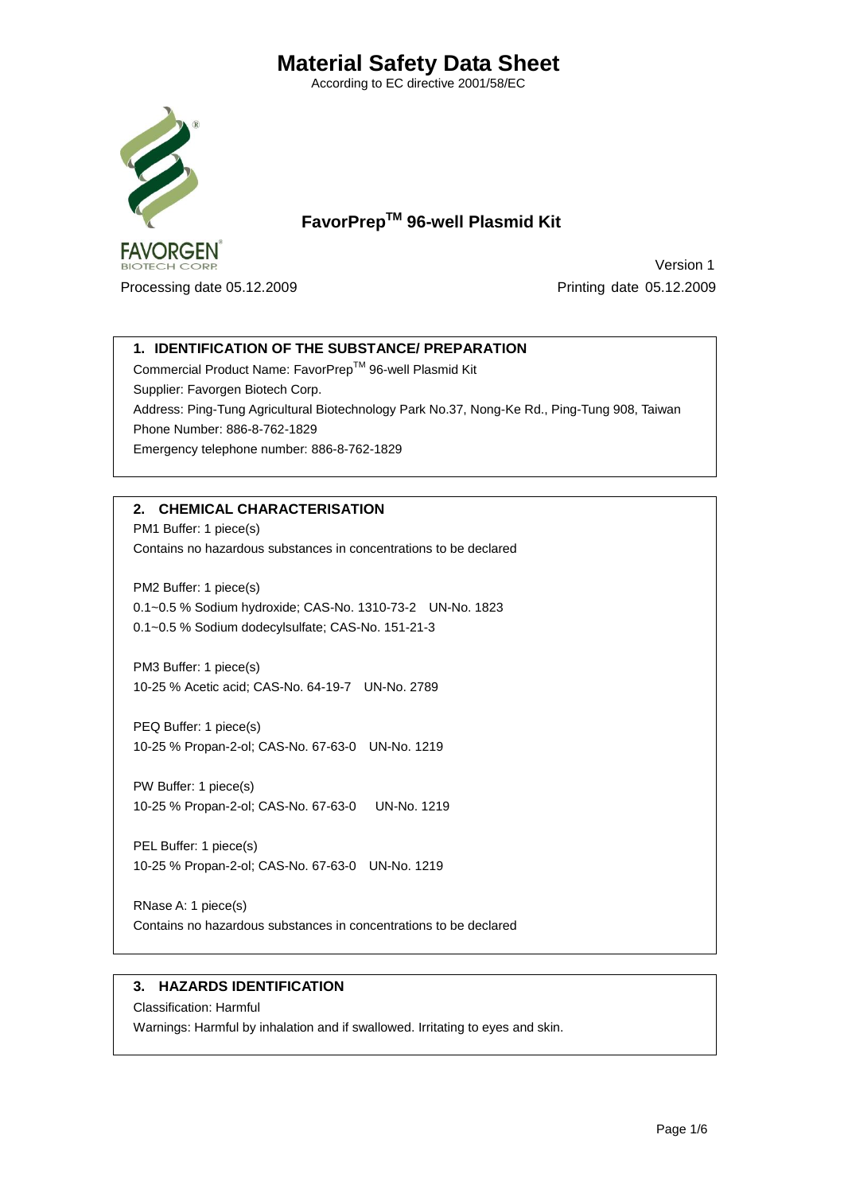According to EC directive 2001/58/EC



 **FavorPrepTM 96-well Plasmid Kit**

Processing date 05.12.2009 Printing date 05.12.2009

Version 1

# **1. IDENTIFICATION OF THE SUBSTANCE/ PREPARATION**

Commercial Product Name: FavorPrep™ 96-well Plasmid Kit Supplier: Favorgen Biotech Corp. Address: Ping-Tung Agricultural Biotechnology Park No.37, Nong-Ke Rd., Ping-Tung 908, Taiwan Phone Number: 886-8-762-1829 Emergency telephone number: 886-8-762-1829

# **2. CHEMICAL CHARACTERISATION**

PM1 Buffer: 1 piece(s) Contains no hazardous substances in concentrations to be declared

PM2 Buffer: 1 piece(s) 0.1~0.5 % Sodium hydroxide; CAS-No. 1310-73-2 UN-No. 1823 0.1~0.5 % Sodium dodecylsulfate; CAS-No. 151-21-3

PM3 Buffer: 1 piece(s) 10-25 % Acetic acid; CAS-No. 64-19-7 UN-No. 2789

PEQ Buffer: 1 piece(s) 10-25 % Propan-2-ol; CAS-No. 67-63-0 UN-No. 1219

PW Buffer: 1 piece(s) 10-25 % Propan-2-ol; CAS-No. 67-63-0 UN-No. 1219

PEL Buffer: 1 piece(s) 10-25 % Propan-2-ol; CAS-No. 67-63-0 UN-No. 1219

RNase A: 1 piece(s) Contains no hazardous substances in concentrations to be declared

## **3. HAZARDS IDENTIFICATION**

Classification: Harmful Warnings: Harmful by inhalation and if swallowed. Irritating to eyes and skin.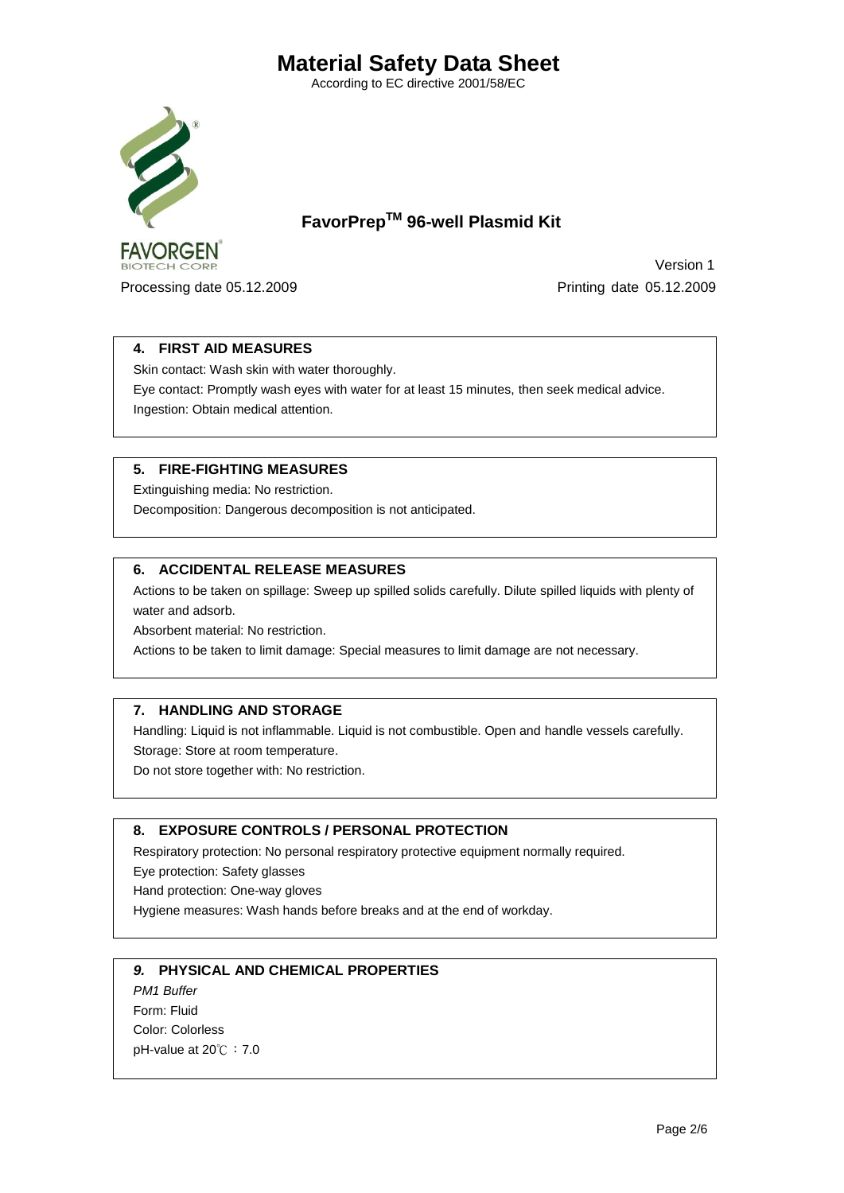According to EC directive 2001/58/EC



 **FavorPrepTM 96-well Plasmid Kit**

Processing date 05.12.2009 Printing date 05.12.2009

Version 1

## **4. FIRST AID MEASURES**

Skin contact: Wash skin with water thoroughly.

Eye contact: Promptly wash eyes with water for at least 15 minutes, then seek medical advice. Ingestion: Obtain medical attention.

### **5. FIRE-FIGHTING MEASURES**

Extinguishing media: No restriction. Decomposition: Dangerous decomposition is not anticipated.

### **6. ACCIDENTAL RELEASE MEASURES**

Actions to be taken on spillage: Sweep up spilled solids carefully. Dilute spilled liquids with plenty of water and adsorb.

Absorbent material: No restriction.

Actions to be taken to limit damage: Special measures to limit damage are not necessary.

### **7. HANDLING AND STORAGE**

Handling: Liquid is not inflammable. Liquid is not combustible. Open and handle vessels carefully. Storage: Store at room temperature.

Do not store together with: No restriction.

### **8. EXPOSURE CONTROLS / PERSONAL PROTECTION**

Respiratory protection: No personal respiratory protective equipment normally required.

Eye protection: Safety glasses

Hand protection: One-way gloves

Hygiene measures: Wash hands before breaks and at the end of workday.

### *9.* **PHYSICAL AND CHEMICAL PROPERTIES**

*PM1 Buffer*  Form: Fluid Color: Colorless pH-value at 20℃:7.0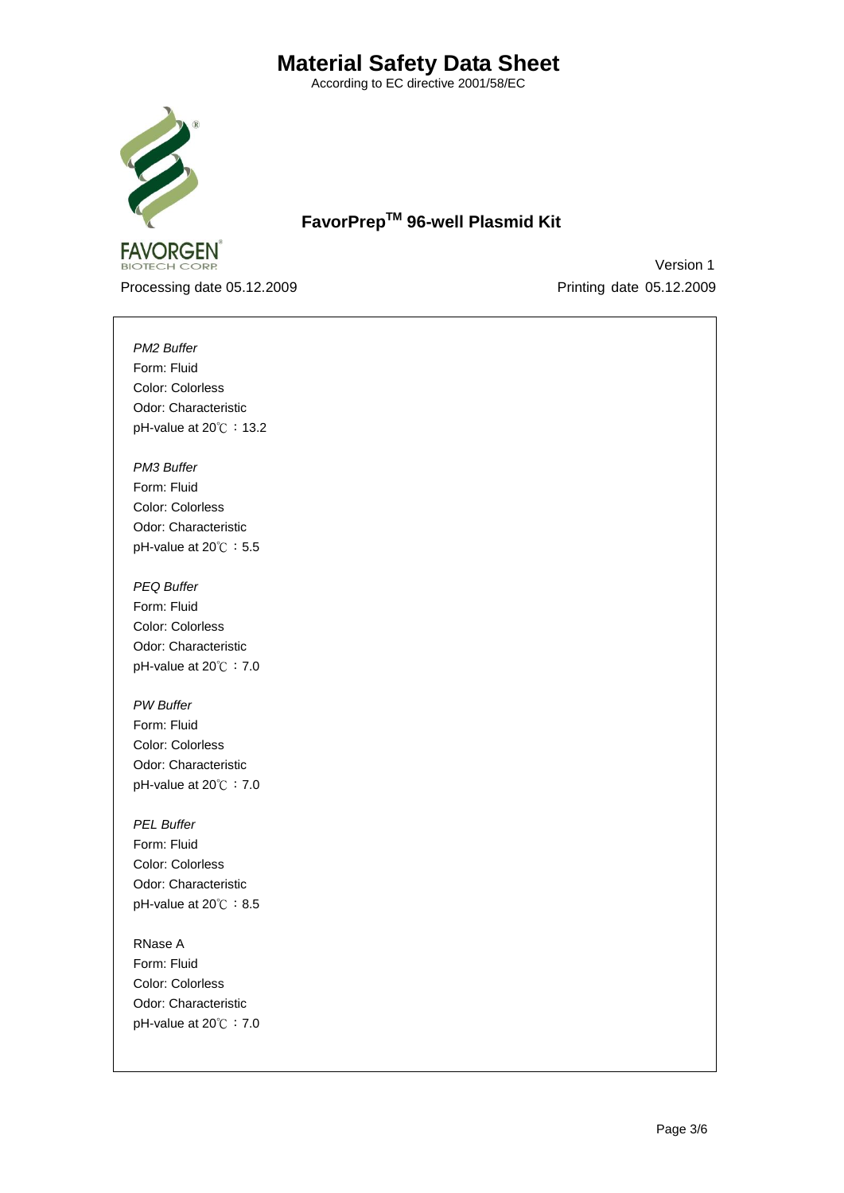According to EC directive 2001/58/EC



 **FavorPrepTM 96-well Plasmid Kit**

Processing date 05.12.2009 Printing date 05.12.2009

Version 1

*PM2 Buffer*  Form: Fluid Color: Colorless Odor: Characteristic pH-value at 20℃: 13.2

*PM3 Buffer*  Form: Fluid Color: Colorless Odor: Characteristic pH-value at 20℃: 5.5

*PEQ Buffer*  Form: Fluid Color: Colorless Odor: Characteristic pH-value at 20℃:7.0

*PW Buffer* Form: Fluid Color: Colorless Odor: Characteristic pH-value at 20℃:7.0

*PEL Buffer* Form: Fluid Color: Colorless Odor: Characteristic pH-value at 20℃: 8.5

RNase A Form: Fluid Color: Colorless Odor: Characteristic pH-value at 20℃:7.0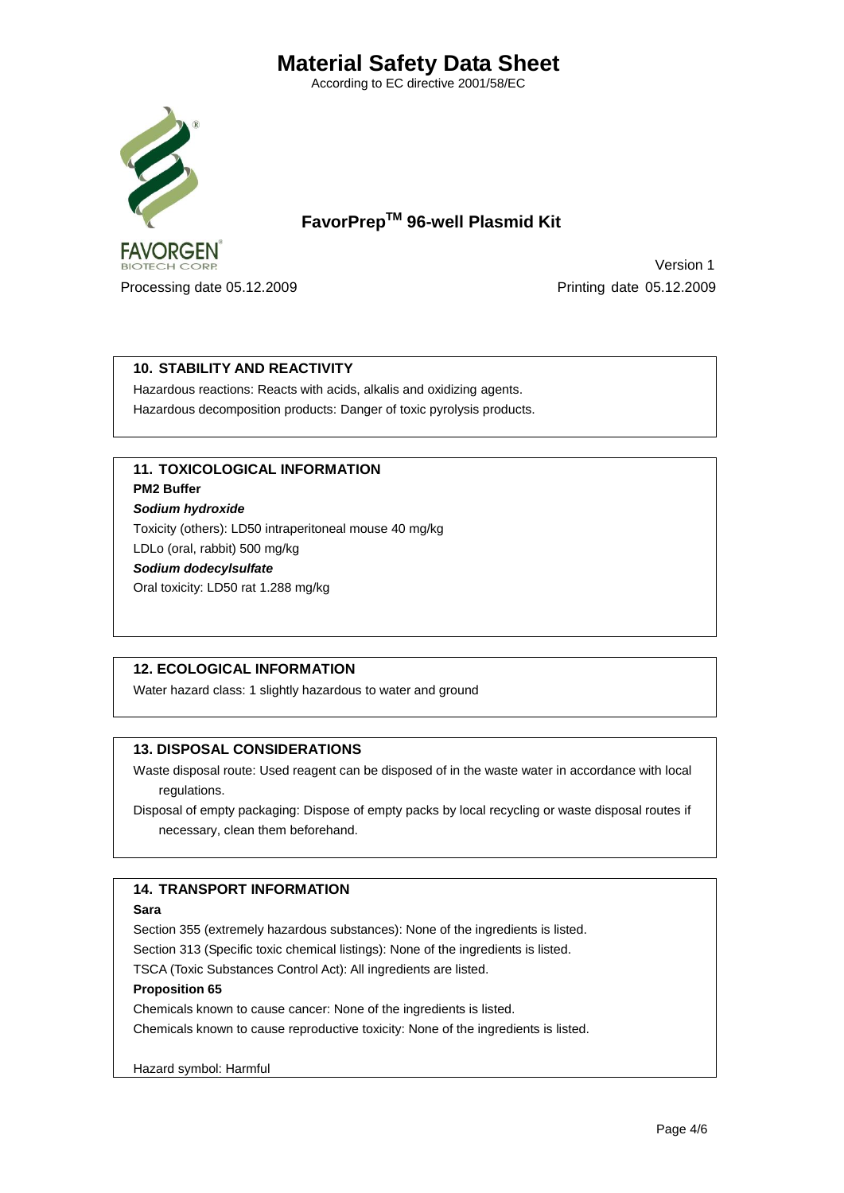According to EC directive 2001/58/EC



 **FavorPrepTM 96-well Plasmid Kit**

Processing date 05.12.2009 Printing date 05.12.2009

Version 1

# **10. STABILITY AND REACTIVITY**

Hazardous reactions: Reacts with acids, alkalis and oxidizing agents. Hazardous decomposition products: Danger of toxic pyrolysis products.

# **11. TOXICOLOGICAL INFORMATION**

**PM2 Buffer** 

*Sodium hydroxide*

Toxicity (others): LD50 intraperitoneal mouse 40 mg/kg

LDLo (oral, rabbit) 500 mg/kg

*Sodium dodecylsulfate*

Oral toxicity: LD50 rat 1.288 mg/kg

# **12. ECOLOGICAL INFORMATION**

Water hazard class: 1 slightly hazardous to water and ground

## **13. DISPOSAL CONSIDERATIONS**

Waste disposal route: Used reagent can be disposed of in the waste water in accordance with local regulations.

Disposal of empty packaging: Dispose of empty packs by local recycling or waste disposal routes if necessary, clean them beforehand.

# **14. TRANSPORT INFORMATION**

### **Sara**

Section 355 (extremely hazardous substances): None of the ingredients is listed.

Section 313 (Specific toxic chemical listings): None of the ingredients is listed.

TSCA (Toxic Substances Control Act): All ingredients are listed.

### **Proposition 65**

Chemicals known to cause cancer: None of the ingredients is listed.

Chemicals known to cause reproductive toxicity: None of the ingredients is listed.

### Hazard symbol: Harmful